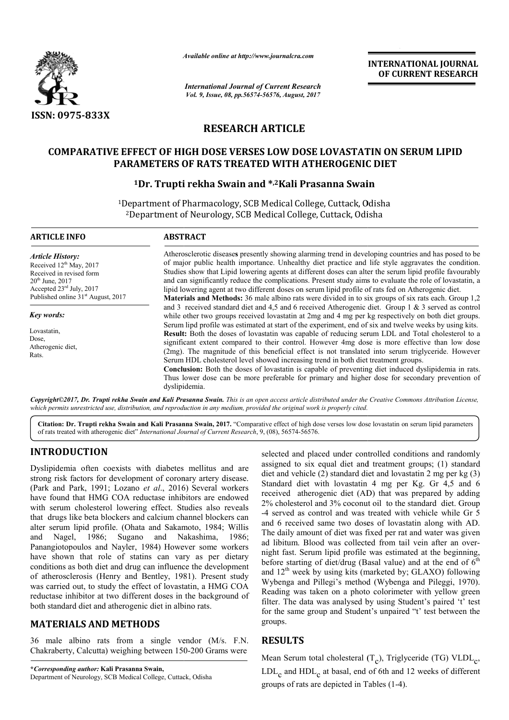

*Available online at http://www.journal http://www.journalcra.com*

*International Journal of Current Research Vol. 9, Issue, 08, pp.56574-56576, August, 2017* **INTERNATIONAL JOURNAL OF CURRENT RESEARCH** 

# **RESEARCH ARTICLE**

### **COMPARATIVE EFFECT OF HIGH DOSE VERSES LOW DOSE LOVASTATIN ON SERUM LIPID PARAMETERS OF RATS TREATED WITH ATHEROGENIC DIET**

### <sup>1</sup>Dr. Trupti rekha Swain and \*,<sup>2</sup>Kali Prasanna Swain

<sup>1</sup>Department of Pharmacology, SCB Medical College, Cuttack, Odisha <sup>2</sup>Department of Neurology, SCB Medical College, Cuttack, Odisha

| <b>ARTICLE INFO</b>                                                                                                                                                                                         | <b>ABSTRACT</b>                                                                                                                                                                                                                                                                                                                                                                                                                                                                                                                                                                                                                  |  |  |  |
|-------------------------------------------------------------------------------------------------------------------------------------------------------------------------------------------------------------|----------------------------------------------------------------------------------------------------------------------------------------------------------------------------------------------------------------------------------------------------------------------------------------------------------------------------------------------------------------------------------------------------------------------------------------------------------------------------------------------------------------------------------------------------------------------------------------------------------------------------------|--|--|--|
| <b>Article History:</b><br>Received 12 <sup>th</sup> May, 2017<br>Received in revised form<br>$20th$ June, $2017$<br>Accepted $23^{\text{rd}}$ July, 2017<br>Published online 31 <sup>st</sup> August, 2017 | Atherosclerotic diseases presently showing alarming trend in developing countries and has posed to be<br>of major public health importance. Unhealthy diet practice and life style aggravates the condition.<br>Studies show that Lipid lowering agents at different doses can alter the serum lipid profile favourably<br>and can significantly reduce the complications. Present study aims to evaluate the role of lovastatin, a<br>lipid lowering agent at two different doses on serum lipid profile of rats fed on Atherogenic diet.                                                                                       |  |  |  |
|                                                                                                                                                                                                             | <b>Materials and Methods:</b> 36 male albino rats were divided in to six groups of six rats each. Group 1,2<br>and 3 received standard diet and 4.5 and 6 received Atherogenic diet. Group 1 & 3 served as control                                                                                                                                                                                                                                                                                                                                                                                                               |  |  |  |
| Key words:                                                                                                                                                                                                  | while other two groups received lovastatin at 2mg and 4 mg per kg respectively on both diet groups.<br>Serum lipd profile was estimated at start of the experiment, end of six and twelve weeks by using kits.                                                                                                                                                                                                                                                                                                                                                                                                                   |  |  |  |
| Lovastatin,<br>Dose,<br>Atherogenic diet,<br>Rats.                                                                                                                                                          | Result: Both the doses of lovastatin was capable of reducing serum LDL and Total cholesterol to a<br>significant extent compared to their control. However 4mg dose is more effective than low dose<br>(2mg). The magnitude of this beneficial effect is not translated into serum triglyceride. However<br>Serum HDL cholesterol level showed increasing trend in both diet treatment groups.<br><b>Conclusion:</b> Both the doses of lovastatin is capable of preventing diet induced dyslipidemia in rats.<br>Thus lower dose can be more preferable for primary and higher dose for secondary prevention of<br>dyslipidemia. |  |  |  |

*Copyright©2017, Dr. Trupti rekha Swain and Kali Prasanna Swain Swain. This is an open access article distributed under the Creative Commons Att distributed Attribution License, which permits unrestricted use, distribution, and reproduction in any medium, provided the original work is properly cited. provided the is properly* 

Citation: Dr. Trupti rekha Swain and Kali Prasanna Swain, 2017. "Comparative effect of high dose verses low dose lovastatin on serum lipid parameters of rats treated with atherogenic diet" *International Journal of Current Research* , 9, (08), 56574-56576.

# **INTRODUCTION**

Dyslipidemia often coexists with diabetes mellitus and are strong risk factors for development of coronary artery disease. (Park and Park, 1991; Lozano et al., 2016) Several workers have found that HMG COA reductase inhibitors are endowed with serum cholesterol lowering effect. Studies also reveals that drugs like beta blockers and calcium channel blockers can alter serum lipid profile. (Ohata and Sakamoto, 1984; Willis and Nagel, 1986; Sugano and Nakashima Nakashima, 1986; Panangiotopoulos and Nayler, 1984) However some workers have shown that role of statins can vary as per dietary conditions as both diet and drug can influence the development of atherosclerosis (Henry and Bentley, 1981). Present study was carried out, to study the effect of lovastatin, a HMG COA reductase inhibitor at two different doses in the background of both standard diet and atherogenic diet in albino rats. ng effect. Studies also reveals<br>nd calcium channel blockers can<br>ta and Sakamoto, 1984; Willis

## **MATERIALS AND METHODS**

36 male albino rats from a single vendor (M/s. F.N. Chakraberty, Calcutta) weighing between 150 150-200 Grams were

**\****Corresponding author:* **Kali Prasanna Swain,** Department of Neurology, SCB Medical College, Cuttack, Odisha selected and placed under controlled conditions and randomly assigned to six equal diet and treatment groups; (1) standard diet and vehicle (2) standard diet and lovastatin 2 mg per kg (3) Standard diet with lovastatin 4 mg per Kg. Gr 4,5 and 6 received atherogenic diet (AD) that was prepared by adding 2% cholesterol and 3% coconut oil to the standard diet. Group -4 served as control and was treated with vehicle while Gr 5 and 6 received same two doses of lovastatin along with AD. The daily amount of diet was fixed per rat and water was given ad libitum. Blood was collected from tail vein after an over night fast. Serum lipid profile was estimated at the beginning, night fast. Serum lipid profile was estimated at the beginning, before starting of diet/drug (Basal value) and at the end of  $6<sup>th</sup>$ and  $12<sup>th</sup>$  week by using kits (marketed by; GLAXO) following Wybenga and Pillegi's method (Wybenga and Pileggi, 1970). Reading was taken on a photo colorimeter with yellow green Reading was taken on a photo colorimeter with yellow green filter. The data was analysed by using Student's paired 't' test for the same group and Student's unpaired "t' test between the groups. elected and placed under controlled conditions and randomly<br>sisigned to six equal diet and treatment groups; (1) standard<br>liet and vehicle (2) standard diet and lovastatin 2 mg per kg (3)<br>Standard diet with lovastatin 4 mg

## **RESULTS**

Mean Serum total cholesteral  $(T_c)$ , Triglyceride (TG)  $VLDL_c$ , LDL<sub>c</sub> and HDL<sub>c</sub> at basal, end of 6th and 12 weeks of different  $LDL_c$  and  $HDL_c$  at basal, end of 6th and groups of rats are depicted in Tables (1-4).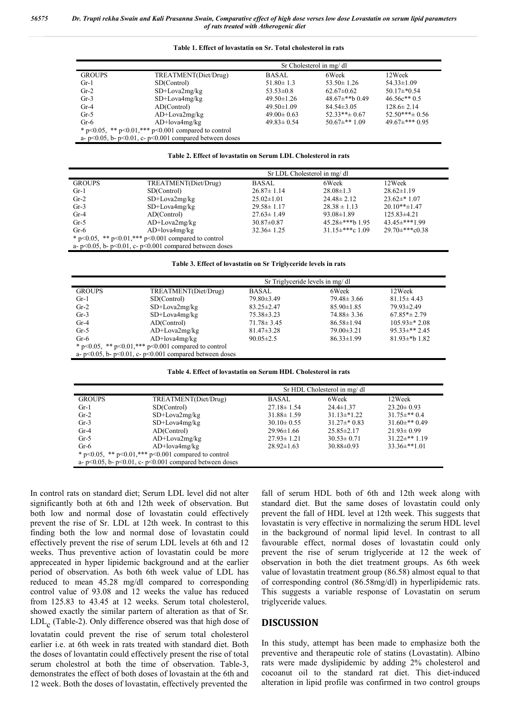|                                                                 |                      | Sr Cholesterol in mg/dl |                      |                      |  |
|-----------------------------------------------------------------|----------------------|-------------------------|----------------------|----------------------|--|
| <b>GROUPS</b>                                                   | TREATMENT(Diet/Drug) | <b>BASAL</b>            | 6Week                | 12Week               |  |
| $Gr-1$                                                          | SD(Control)          | $51.80 \pm 1.3$         | $53.50 \pm 1.26$     | $54.33 \pm 1.09$     |  |
| $Gr-2$                                                          | SD+Lova2mg/kg        | $53.53 \pm 0.8$         | $62.67\pm0.62$       | $50.17\pm 0.54$      |  |
| $Gr-3$                                                          | $SD+Lova4mg/kg$      | $49.50 \pm 1.26$        | 48.67 $\pm$ **b 0.49 | $46.56c**0.5$        |  |
| $Gr-4$                                                          | AD(Control)          | $49.50 \pm 1.09$        | $84.54\pm3.05$       | $128.6 \pm 2.14$     |  |
| $Gr-5$                                                          | $AD+Lova2mg/kg$      | $49.00 \pm 0.63$        | $52.33**+0.67$       | $52.50***\pm 0.56$   |  |
| $Gr-6$                                                          | $AD+lova4mg/kg$      | $49.83 \pm 0.54$        | $50.67\pm***1.09$    | 49.67 $\pm$ *** 0.95 |  |
| * $p<0.05$ , ** $p<0.01$ , *** $p<0.001$ compared to control    |                      |                         |                      |                      |  |
| a- $p<0.05$ , b- $p<0.01$ , c- $p<0.001$ compared between doses |                      |                         |                      |                      |  |

#### **Table 1. Effect of lovastatin on Sr. Total cholesterol in rats**

#### **Table 2. Effect of lovastatin on Serum LDL Cholesterol in rats**

|                                                                 | Sr LDL Cholesterol in mg/dl |                  |                     |                    |
|-----------------------------------------------------------------|-----------------------------|------------------|---------------------|--------------------|
| <b>GROUPS</b>                                                   | TREATMENT(Diet/Drug)        | <b>BASAL</b>     | 6Week               | 12Week             |
| $Gr-1$                                                          | SD(Control)                 | $26.87 \pm 1.14$ | $28.08 \pm 1.3$     | $28.62 \pm 1.19$   |
| $Gr-2$                                                          | $SD+Lova2mg/kg$             | $25.02 \pm 1.01$ | $24.48 \pm 2.12$    | $23.62 \pm 1.07$   |
| $Gr-3$                                                          | $SD+Lova4mg/kg$             | $29.58 \pm 1.17$ | $28.38 \pm 1.13$    | $20.10**+1.47$     |
| $Gr-4$                                                          | AD(Control)                 | $27.63 \pm 1.49$ | $93.08 \pm 1.89$    | $125.83\pm4.21$    |
| $Gr-5$                                                          | $AD+Lova2mg/kg$             | $30.87 \pm 0.87$ | $45.28\pm***$ 1.95  | $43.45\pm***1.99$  |
| $Gr-6$                                                          | $AD+lova4mg/kg$             | $32.36 \pm 1.25$ | $31.15\pm***c$ 1.09 | $29.70\pm***c0.38$ |
| * $p<0.05$ , ** $p<0.01$ ,*** $p<0.001$ compared to control     |                             |                  |                     |                    |
| a- $p<0.05$ , b- $p<0.01$ , c- $p<0.001$ compared between doses |                             |                  |                     |                    |

#### **Table 3. Effect of lovastatin on Sr Triglyceride levels in rats**

|                                                                 |                      | Sr Triglyceride levels in mg/dl |                  |                    |  |
|-----------------------------------------------------------------|----------------------|---------------------------------|------------------|--------------------|--|
| <b>GROUPS</b>                                                   | TREATMENT(Diet/Drug) | <b>BASAL</b>                    | 6Week            | 12Week             |  |
| $Gr-1$                                                          | SD(Control)          | $79.80 \pm 3.49$                | $79.48 \pm 3.66$ | $81.15 \pm 4.43$   |  |
| $Gr-2$                                                          | $SD+Lova2mg/kg$      | $83.25 \pm 2.47$                | $85.90 \pm 1.85$ | 79.93±2.49         |  |
| $Gr-3$                                                          | $SD+Lova4mg/kg$      | $75.38 \pm 3.23$                | $74.88 \pm 3.36$ | $67.85* \pm 2.79$  |  |
| $Gr-4$                                                          | AD(Control)          | $71.78 \pm 3.45$                | $86.58 \pm 1.94$ | $105.93\pm*2.08$   |  |
| $Gr-5$                                                          | $AD+Lova2mg/kg$      | $81.47 \pm 3.28$                | $79.00 \pm 3.21$ | $95.33\pm$ ** 2.45 |  |
| $Gr-6$                                                          | $AD+lova4mg/kg$      | $90.05 \pm 2.5$                 | $86.33 \pm 1.99$ | $81.93\pm b 1.82$  |  |
| * p<0.05, ** p<0.01, *** p<0.001 compared to control            |                      |                                 |                  |                    |  |
| a- $p<0.05$ , b- $p<0.01$ , c- $p<0.001$ compared between doses |                      |                                 |                  |                    |  |

| Table 4. Effect of lovastatin on Serum HDL Cholesterol in rats |  |
|----------------------------------------------------------------|--|
|----------------------------------------------------------------|--|

|                                                                 |                      | Sr HDL Cholesterol in mg/dl |                  |                     |  |
|-----------------------------------------------------------------|----------------------|-----------------------------|------------------|---------------------|--|
| <b>GROUPS</b>                                                   | TREATMENT(Diet/Drug) | <b>BASAL</b>                | 6Week            | 12Week              |  |
| $Gr-1$                                                          | SD(Control)          | $27.18 \pm 1.54$            | $24.4 \pm 1.37$  | $23.20 \pm 0.93$    |  |
| $Gr-2$                                                          | $SD+Lova2mg/kg$      | $31.88 \pm 1.59$            | $31.13\pm*1.22$  | $31.75\pm$ ** 0.4   |  |
| $Gr-3$                                                          | $SD+Lova4mg/kg$      | $30.10 \pm 0.55$            | $31.27\pm*0.83$  | $31.60\pm**0.49$    |  |
| $Gr-4$                                                          | AD(Control)          | $29.96 \pm 1.66$            | $25.85 \pm 2.17$ | $21.93 \pm 0.99$    |  |
| $Gr-5$                                                          | $AD+Lova2mg/kg$      | $27.93 \pm 1.21$            | $30.53 \pm 0.71$ | $31.22 \pm ** 1.19$ |  |
| $Gr-6$                                                          | $AD+lova4mg/kg$      | $28.92 \pm 1.63$            | $30.88 \pm 0.93$ | $33.36\pm$ **1.01   |  |
| * p<0.05, ** p<0.01, *** p<0.001 compared to control            |                      |                             |                  |                     |  |
| a- $p<0.05$ , b- $p<0.01$ , c- $p<0.001$ compared between doses |                      |                             |                  |                     |  |

In control rats on standard diet; Serum LDL level did not alter significantly both at 6th and 12th week of observation. But both low and normal dose of lovastatin could effectively prevent the rise of Sr. LDL at 12th week. In contrast to this finding both the low and normal dose of lovastatin could effectively prevent the rise of serum LDL levels at 6th and 12 weeks. Thus preventive action of lovastatin could be more appreceated in hyper lipidemic background and at the earlier period of observation. As both 6th week value of LDL has reduced to mean 45.28 mg/dl compared to corresponding control value of 93.08 and 12 weeks the value has reduced from 125.83 to 43.45 at 12 weeks. Serum total cholesterol, showed exactly the similar partern of alteration as that of Sr.  $LDL<sub>c</sub>$  (Table-2). Only difference obsered was that high dose of lovatatin could prevent the rise of serum total cholesterol earlier i.e. at 6th week in rats treated with standard diet. Both the doses of lovantatin could effectively present the rise of total serum cholestrol at both the time of observation. Table-3, demonstrates the effect of both doses of lovastain at the 6th and 12 week. Both the doses of lovastatin, effectively prevented the

fall of serum HDL both of 6th and 12th week along with standard diet. But the same doses of lovastatin could only prevent the fall of HDL level at 12th week. This suggests that lovastatin is very effective in normalizing the serum HDL level in the background of normal lipid level. In contrast to all favourable effect, normal doses of lovastatin could only prevent the rise of serum triglyceride at 12 the week of observation in both the diet treatment groups. As 6th week value of lovastatin treatment group (86.58) almost equal to that of corresponding control (86.58mg/dl) in hyperlipidemic rats. This suggests a variable response of Lovastatin on serum triglyceride values.

#### **DISCUSSION**

In this study, attempt has been made to emphasize both the preventive and therapeutic role of statins (Lovastatin). Albino rats were made dyslipidemic by adding 2% cholesterol and cocoanut oil to the standard rat diet. This diet-induced alteration in lipid profile was confirmed in two control groups